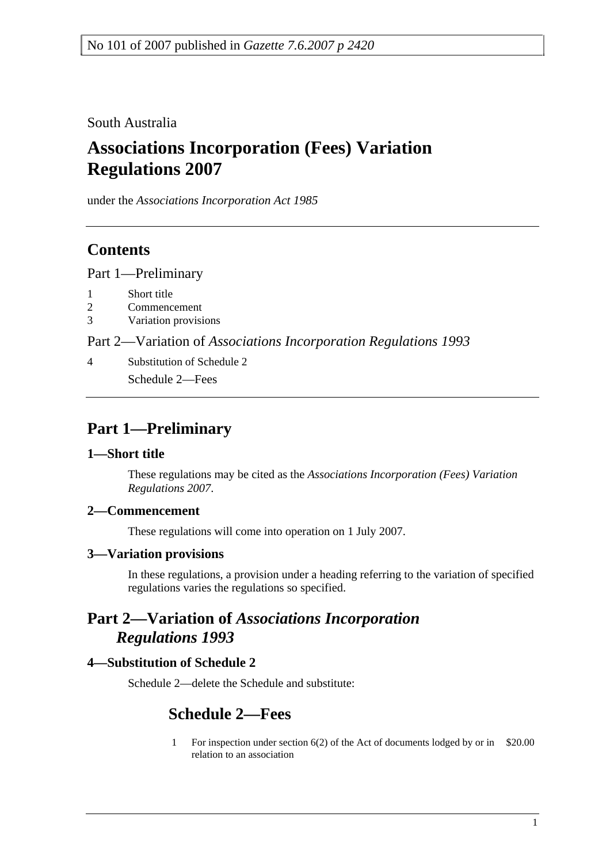South Australia

# **Associations Incorporation (Fees) Variation Regulations 2007**

under the *Associations Incorporation Act 1985*

## **Contents**

Part 1—Preliminary

- 1 Short title
- 2 Commencement
- 3 Variation provisions

Part 2—Variation of *Associations Incorporation Regulations 1993*

4 Substitution of Schedule 2 Schedule 2—Fees

## **Part 1—Preliminary**

## **1—Short title**

These regulations may be cited as the *Associations Incorporation (Fees) Variation Regulations 2007*.

## **2—Commencement**

These regulations will come into operation on 1 July 2007.

#### **3—Variation provisions**

In these regulations, a provision under a heading referring to the variation of specified regulations varies the regulations so specified.

## **Part 2—Variation of** *Associations Incorporation Regulations 1993*

## **4—Substitution of Schedule 2**

Schedule 2—delete the Schedule and substitute:

## **Schedule 2—Fees**

1 For inspection under section 6(2) of the Act of documents lodged by or in \$20.00relation to an association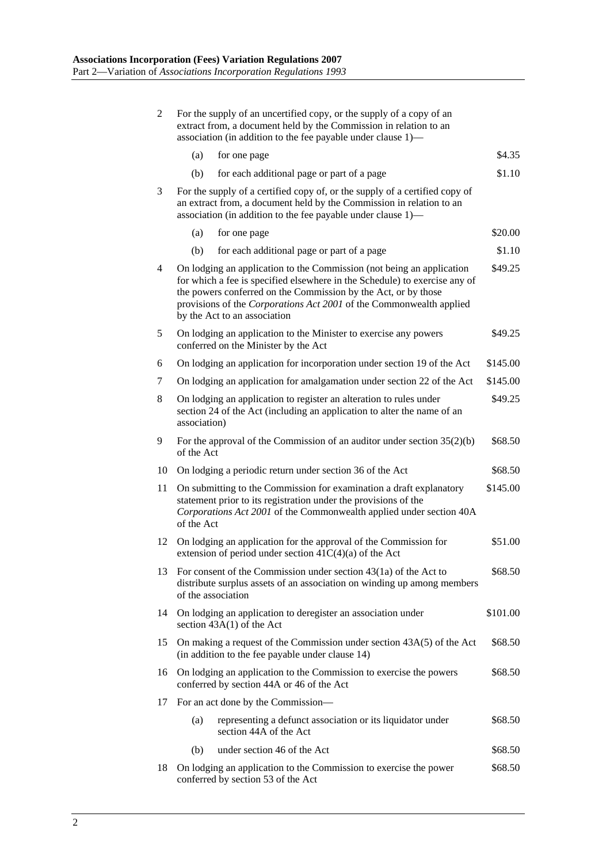| 2  | For the supply of an uncertified copy, or the supply of a copy of an<br>extract from, a document held by the Commission in relation to an<br>association (in addition to the fee payable under clause 1)—                                                                                                                    |          |  |
|----|------------------------------------------------------------------------------------------------------------------------------------------------------------------------------------------------------------------------------------------------------------------------------------------------------------------------------|----------|--|
|    | for one page<br>(a)                                                                                                                                                                                                                                                                                                          | \$4.35   |  |
|    | for each additional page or part of a page<br>(b)                                                                                                                                                                                                                                                                            | \$1.10   |  |
| 3  | For the supply of a certified copy of, or the supply of a certified copy of<br>an extract from, a document held by the Commission in relation to an<br>association (in addition to the fee payable under clause 1)—                                                                                                          |          |  |
|    | (a)<br>for one page                                                                                                                                                                                                                                                                                                          | \$20.00  |  |
|    | (b)<br>for each additional page or part of a page                                                                                                                                                                                                                                                                            | \$1.10   |  |
| 4  | On lodging an application to the Commission (not being an application<br>for which a fee is specified elsewhere in the Schedule) to exercise any of<br>the powers conferred on the Commission by the Act, or by those<br>provisions of the Corporations Act 2001 of the Commonwealth applied<br>by the Act to an association | \$49.25  |  |
| 5  | On lodging an application to the Minister to exercise any powers<br>conferred on the Minister by the Act                                                                                                                                                                                                                     | \$49.25  |  |
| 6  | On lodging an application for incorporation under section 19 of the Act                                                                                                                                                                                                                                                      | \$145.00 |  |
| 7  | On lodging an application for amalgamation under section 22 of the Act                                                                                                                                                                                                                                                       | \$145.00 |  |
| 8  | On lodging an application to register an alteration to rules under<br>section 24 of the Act (including an application to alter the name of an<br>association)                                                                                                                                                                | \$49.25  |  |
| 9  | For the approval of the Commission of an auditor under section $35(2)(b)$<br>of the Act                                                                                                                                                                                                                                      | \$68.50  |  |
| 10 | On lodging a periodic return under section 36 of the Act                                                                                                                                                                                                                                                                     | \$68.50  |  |
| 11 | On submitting to the Commission for examination a draft explanatory<br>statement prior to its registration under the provisions of the<br>Corporations Act 2001 of the Commonwealth applied under section 40A<br>of the Act                                                                                                  |          |  |
| 12 | On lodging an application for the approval of the Commission for<br>extension of period under section $41C(4)(a)$ of the Act                                                                                                                                                                                                 | \$51.00  |  |
| 13 | For consent of the Commission under section $43(1a)$ of the Act to<br>distribute surplus assets of an association on winding up among members<br>of the association                                                                                                                                                          |          |  |
| 14 | On lodging an application to deregister an association under<br>section $43A(1)$ of the Act                                                                                                                                                                                                                                  | \$101.00 |  |
| 15 | On making a request of the Commission under section 43A(5) of the Act<br>(in addition to the fee payable under clause 14)                                                                                                                                                                                                    | \$68.50  |  |
| 16 | On lodging an application to the Commission to exercise the powers<br>conferred by section 44A or 46 of the Act                                                                                                                                                                                                              | \$68.50  |  |
| 17 | For an act done by the Commission-                                                                                                                                                                                                                                                                                           |          |  |
|    | (a)<br>representing a defunct association or its liquidator under<br>section 44A of the Act                                                                                                                                                                                                                                  | \$68.50  |  |
|    | under section 46 of the Act<br>(b)                                                                                                                                                                                                                                                                                           | \$68.50  |  |
| 18 | On lodging an application to the Commission to exercise the power<br>conferred by section 53 of the Act                                                                                                                                                                                                                      | \$68.50  |  |